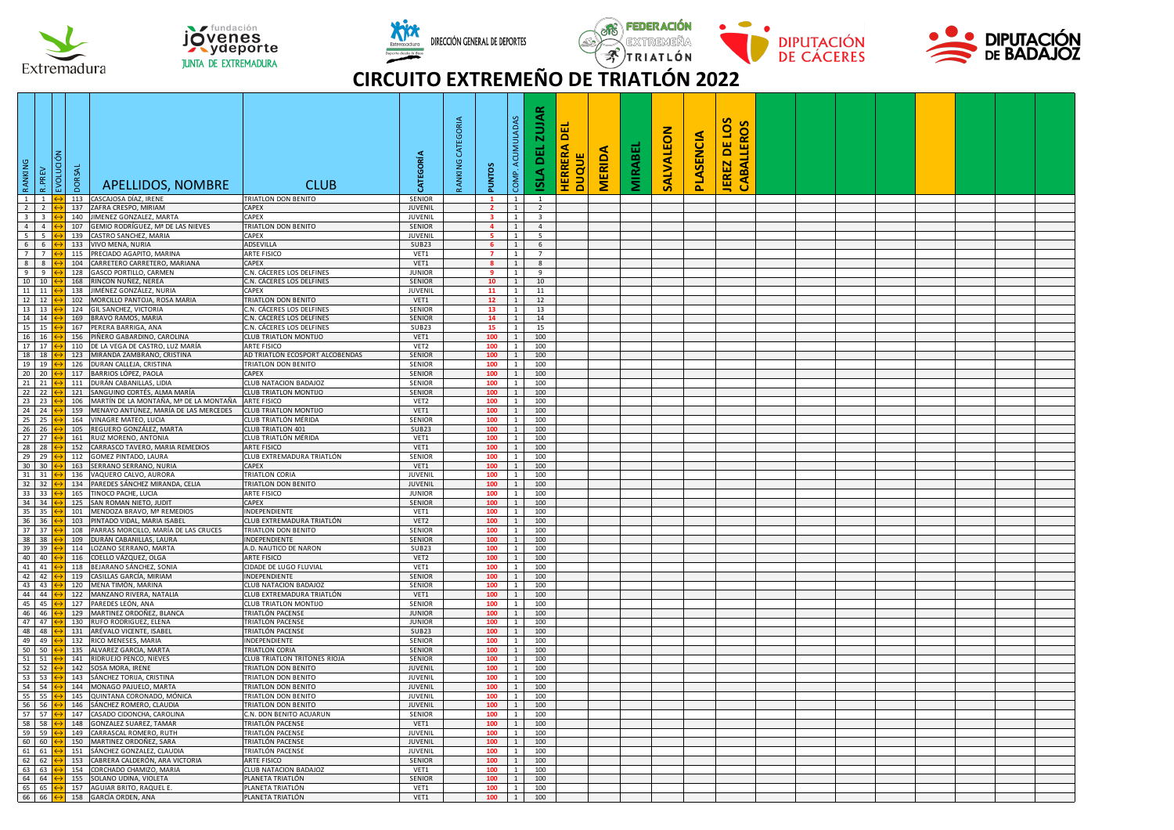

jovenes **JUNTA DE EXTREMADURA** 







## **CIRCUITO EXTREMEÑO DE TRIATLÓN 2022**

| RANKING                           | PREV                          | vornagu<br><b>DORSAL</b> | APELLIDOS, NOMBRE                                                    | <b>CLUB</b>                                           | CATEGORÍA                      | ANKING CATEGORIA | <b>PUNTOS</b>                             | COMP. ACUMULADAS                 | ∝<br><b>ZUJA</b><br>ᇜ<br><b>AJSI</b>      | 핆<br><b>HERRERA</b><br><b>DUQUE</b> | <b>MERIDA</b> | <b>MIRABEI</b> | <b>SALVALEON</b> | PLASENCIA | JEREZ DE LOS<br>S<br>CABALLERO |  |  |  |  |
|-----------------------------------|-------------------------------|--------------------------|----------------------------------------------------------------------|-------------------------------------------------------|--------------------------------|------------------|-------------------------------------------|----------------------------------|-------------------------------------------|-------------------------------------|---------------|----------------|------------------|-----------|--------------------------------|--|--|--|--|
|                                   | $1 \quad 1$                   | 113                      | CASCAJOSA DÍAZ, IRENE                                                | TRIATLON DON BENITO                                   | SENIOR                         |                  | $\mathbf{1}$                              | $\overline{1}$                   | $\mathbf{1}$                              |                                     |               |                |                  |           |                                |  |  |  |  |
| $2 \mid 2$                        |                               | 137<br>140               | AFRA CRESPO, MIRIAM<br>IMENEZ GONZALEZ, MARTA                        | CAPEX<br>CAPEX                                        | JUVENIL                        |                  | $\overline{2}$<br>$\overline{\mathbf{3}}$ | $\overline{1}$<br>$\overline{1}$ | $\overline{2}$                            |                                     |               |                |                  |           |                                |  |  |  |  |
| $3 \mid 3$<br>4                   | $\overline{4}$                | 107                      | iEMIO RODRÍGUEZ. Mª DE LAS NIEVES                                    | TRIATLON DON BENITO                                   | <b>JUVENIL</b><br>SENIOR       |                  | $\overline{a}$                            | $\overline{1}$                   | $\overline{\mathbf{3}}$<br>$\overline{4}$ |                                     |               |                |                  |           |                                |  |  |  |  |
| $5 \mid 5$                        |                               | 139                      | ASTRO SANCHEZ, MARIA                                                 | CAPEX                                                 | <b>JUVENIL</b>                 |                  | 5                                         | $\overline{1}$                   | $\overline{\phantom{0}}$                  |                                     |               |                |                  |           |                                |  |  |  |  |
|                                   | 6 6                           | 133                      | VIVO MENA, NURIA                                                     | ADSEVILLA                                             | <b>SUB23</b>                   |                  | 6                                         | $\mathbf{1}$                     | $6\overline{6}$                           |                                     |               |                |                  |           |                                |  |  |  |  |
|                                   | 7 <sup>7</sup><br>$8 \quad 8$ | 115<br>104               | PRECIADO AGAPITO, MARINA<br>CARRETERO CARRETERO, MARIANA             | ARTE FISICO<br>CAPEX                                  | VET1<br>VET1                   |                  | $\overline{7}$<br>$\overline{\mathbf{8}}$ | $1\phantom{0}$<br>$1 \quad$      | 7<br>$8^{\circ}$                          |                                     |               |                |                  |           |                                |  |  |  |  |
|                                   | $9 \t9$                       | 128                      | GASCO PORTILLO, CARMEN                                               | C.N. CÁCERES LOS DELFINES                             | <b>JUNIOR</b>                  |                  | 9                                         | $1\phantom{0}$                   | 9                                         |                                     |               |                |                  |           |                                |  |  |  |  |
| 10 10                             |                               | 168                      | RINCON NUÑEZ, NEREA                                                  | C.N. CÁCERES LOS DELFINES                             | <b>SENIOR</b>                  |                  | 10                                        | 1                                | 10                                        |                                     |               |                |                  |           |                                |  |  |  |  |
| 11 11                             |                               | 138<br>102               | JIMÉNEZ GONZÁLEZ. NURIA<br>MORCILLO PANTOJA, ROSA MARIA              | CAPEX<br>TRIATLON DON BENITO                          | <b>JUVENIL</b><br>VET1         |                  | 11                                        | $\mathbf{1}$<br>$\mathbf{1}$     | 11                                        |                                     |               |                |                  |           |                                |  |  |  |  |
| 13 13                             | 12 12                         | 124                      | <b>GIL SANCHEZ, VICTORIA</b>                                         | C.N. CÁCERES LOS DELFINES                             | <b>SENIOR</b>                  |                  | 12<br>13                                  | 1                                | 12<br>13                                  |                                     |               |                |                  |           |                                |  |  |  |  |
| 14 14                             |                               | 169                      | BRAVO RAMOS, MARIA                                                   | C.N. CÁCERES LOS DELFINES                             | SENIOR                         |                  | 14                                        | 1                                | 14                                        |                                     |               |                |                  |           |                                |  |  |  |  |
| 15 15                             |                               | 167                      | PERERA BARRIGA, ANA                                                  | C.N. CÁCERES LOS DELFINES                             | SUB23                          |                  | 15                                        | $1 \quad$                        | 15                                        |                                     |               |                |                  |           |                                |  |  |  |  |
| 16 16<br>17 17                    |                               | 156                      | IÑERO GABARDINO, CAROLINA                                            | CLUB TRIATLON MONTIJO                                 | VET1                           |                  | 100<br>100                                | 1<br>$\overline{1}$              | 100                                       |                                     |               |                |                  |           |                                |  |  |  |  |
| 18 18                             |                               | 110<br>123               | <b>DE LA VEGA DE CASTRO, LUZ MARÍA</b><br>MIRANDA ZAMBRANO, CRISTINA | ARTE FISICO<br>AD TRIATLÓN ECOSPORT ALCOBENDAS        | VET2<br><b>SENIOR</b>          |                  | 100                                       | 1                                | 100<br>100                                |                                     |               |                |                  |           |                                |  |  |  |  |
| 19 19                             |                               | 126                      | <b>DURAN CALLEJA, CRISTINA</b>                                       | <b>TRIATLON DON BENITO</b>                            | <b>SENIOR</b>                  |                  | 100                                       | $\overline{1}$                   | 100                                       |                                     |               |                |                  |           |                                |  |  |  |  |
| $20 \quad 20$                     |                               | 117                      | BARRIOS LÓPEZ, PAOLA                                                 | CAPEX                                                 | SENIOR                         |                  | 100                                       | $\mathbf{1}$                     | 100                                       |                                     |               |                |                  |           |                                |  |  |  |  |
| $21 \ 21$                         |                               | 111<br>121               | DURÁN CABANILLAS, LIDIA<br>SANGUINO CORTÉS, ALMA MARÍA               | <b>CLUB NATACION BADAJOZ</b><br>CLUB TRIATLON MONTIJO | <b>SENIOR</b><br>SENIOR        |                  | 100<br>100                                | $\mathbf{1}$<br>$\overline{1}$   | 100                                       |                                     |               |                |                  |           |                                |  |  |  |  |
| 22 22<br>23 23                    |                               | 106                      | MARTÍN DE LA MONTAÑA, Mª DE LA MONTAÑA ARTE FISICO                   |                                                       | VET2                           |                  | 100                                       | 1                                | 100<br>100                                |                                     |               |                |                  |           |                                |  |  |  |  |
| 24 24                             |                               |                          | 159 MENAYO ANTÚNEZ, MARÍA DE LAS MERCEDES CLUB TRIATLON MONTIJO      |                                                       | VET1                           |                  | 100                                       | 1                                | 100                                       |                                     |               |                |                  |           |                                |  |  |  |  |
|                                   | 25 25                         | 164                      | VINAGRE MATEO, LUCIA                                                 | CLUB TRIATLÓN MÉRIDA                                  | <b>SENIOR</b>                  |                  | 100                                       | $\mathbf{1}$                     | 100                                       |                                     |               |                |                  |           |                                |  |  |  |  |
| 26 26<br>27 27                    |                               |                          | 105 REGUERO GONZÁLEZ, MARTA<br>161 RUIZ MORENO, ANTONIA              | <b>CLUB TRIATLON 401</b><br>CLUB TRIATLÓN MÉRIDA      | <b>SUB23</b><br>VET1           |                  | 100                                       | $1\quad$<br>$\overline{1}$       | 100                                       |                                     |               |                |                  |           |                                |  |  |  |  |
| 28 28                             |                               | 152                      | ARRASCO TAVERO, MARIA REMEDIOS                                       | ARTE FISICO                                           | VET1                           |                  | 100<br>100                                | $1\phantom{0}$                   | 100<br>100                                |                                     |               |                |                  |           |                                |  |  |  |  |
|                                   | 29 29                         | 112                      | GOMEZ PINTADO, LAURA                                                 | CLUB EXTREMADURA TRIATLÓN                             | SENIOR                         |                  | 100                                       | $\overline{1}$                   | 100                                       |                                     |               |                |                  |           |                                |  |  |  |  |
| 30 30                             |                               |                          | 163 SERRANO SERRANO, NURIA                                           | CAPEX                                                 | VET1                           |                  | 100                                       | 1                                | 100                                       |                                     |               |                |                  |           |                                |  |  |  |  |
| $31 \overline{\smash{\big)}\ 31}$ | $32 \overline{32}$            | 136<br>134               | VAQUERO CALVO, AURORA<br>PAREDES SÁNCHEZ MIRANDA, CELIA              | TRIATLON CORIA<br>TRIATLON DON BENITO                 | JUVENIL<br>JUVENIL             |                  | 100<br>100                                | $\overline{1}$<br>1              | 100<br>100                                |                                     |               |                |                  |           |                                |  |  |  |  |
|                                   | 33 33                         | 165                      | TINOCO PACHE, LUCIA                                                  | <b>ARTE FISICO</b>                                    | <b>JUNIOR</b>                  |                  | 100                                       | $\overline{1}$                   | 100                                       |                                     |               |                |                  |           |                                |  |  |  |  |
| 34 34                             |                               | 125                      | AN ROMAN NIETO, JUDIT                                                | CAPEX                                                 | <b>SENIOR</b>                  |                  | 100                                       | $\overline{1}$                   | 100                                       |                                     |               |                |                  |           |                                |  |  |  |  |
| 35 35                             |                               | 101                      | MENDOZA BRAVO, Mª REMEDIOS                                           | INDEPENDIENTE                                         | VET1                           |                  | 100                                       | $1\phantom{0}$                   | 100                                       |                                     |               |                |                  |           |                                |  |  |  |  |
| 36 36                             | $37 \overline{37}$            | 103<br>108               | INTADO VIDAL, MARIA ISABEL<br>ARRAS MORCILLO, MARÍA DE LAS CRUCES    | CLUB EXTREMADURA TRIATLÓN<br>TRIATLON DON BENITO      | VET2<br>SENIOR                 |                  | 100<br>100                                | $1\phantom{0}$<br>$\overline{1}$ | 100<br>100                                |                                     |               |                |                  |           |                                |  |  |  |  |
|                                   | 38 38                         |                          | 109 DURÁN CABANILLAS, LAURA                                          | INDEPENDIENTE                                         | SENIOR                         |                  | 100                                       | 1                                | 100                                       |                                     |               |                |                  |           |                                |  |  |  |  |
|                                   | 39 39                         | 114                      | LOZANO SERRANO, MARTA                                                | A.D. NAUTICO DE NARON                                 | <b>SUB23</b>                   |                  | 100                                       | $\overline{1}$                   | 100                                       |                                     |               |                |                  |           |                                |  |  |  |  |
|                                   | 40 40                         | 116                      | COELLO VÁZQUEZ, OLGA                                                 | <b>ARTE FISICO</b>                                    | VET2                           |                  | 100                                       | 1                                | 100                                       |                                     |               |                |                  |           |                                |  |  |  |  |
| 42 42                             | 41 41                         | 118<br>119               | BEJARANO SÁNCHEZ, SONIA<br>CASILLAS GARCÍA. MIRIAM                   | CIDADE DE LUGO FLUVIAL<br><b>INDEPENDIENTE</b>        | VET1<br><b>SENIOR</b>          |                  | 100<br>100                                | <sup>1</sup><br>1                | 100<br>100                                |                                     |               |                |                  |           |                                |  |  |  |  |
|                                   | 43 43                         | 120                      | VIENA TIMÓN, MARINA                                                  | CLUB NATACION BADAJOZ                                 | SENIOR                         |                  | 100                                       | $1\phantom{0}$                   | 100                                       |                                     |               |                |                  |           |                                |  |  |  |  |
|                                   | 44 44                         | 122                      | <b>MANZANO RIVERA, NATALIA</b>                                       | CLUB EXTREMADURA TRIATLÓN                             | VET1                           |                  | 100                                       | $\overline{1}$                   | 100                                       |                                     |               |                |                  |           |                                |  |  |  |  |
| 45 45                             | 46 46                         | 127                      | PAREDES LEÓN, ANA                                                    | CLUB TRIATLON MONTIJO                                 | SENIOR                         |                  | 100                                       | <sup>1</sup>                     | 100                                       |                                     |               |                |                  |           |                                |  |  |  |  |
|                                   | 47 47                         | 129<br>130               | MARTINEZ ORDOÑEZ, BLANCA<br>RUFO RODRIGUEZ, ELENA                    | TRIATLÓN PACENSE<br>TRIATLÓN PACENSE                  | <b>JUNIOR</b><br><b>JUNIOR</b> |                  | 100<br>100                                | $\mathbf{1}$<br>1                | 100<br>100                                |                                     |               |                |                  |           |                                |  |  |  |  |
| 48 48                             |                               | 131                      | ARÉVALO VICENTE, ISABEL                                              | TRIATLÓN PACENSE                                      | SUB <sub>23</sub>              |                  | 100                                       | $1 \quad$                        | 100                                       |                                     |               |                |                  |           |                                |  |  |  |  |
|                                   | 49 49                         | 132                      | RICO MENESES, MARIA                                                  | INDEPENDIENTE                                         | <b>SENIOR</b>                  |                  | 100                                       | 1                                | 100                                       |                                     |               |                |                  |           |                                |  |  |  |  |
| $51 \overline{\smash{\big)}\ 51}$ | 50 50                         | 135<br>141               | ALVAREZ GARCIA, MARTA<br>RIDRUEJO PENCO, NIEVES                      | <b>TRIATLON CORIA</b><br>CLUB TRIATLON TRITONES RIOJA | <b>SENIOR</b><br>SENIOR        |                  | 100<br>100                                | 1<br>1                           | 100<br>100                                |                                     |               |                |                  |           |                                |  |  |  |  |
| 52 52                             |                               | 142                      | <b>OSA MORA, IRENE</b>                                               | TRIATLON DON BENITO                                   | JUVENIL                        |                  | 100                                       | $1\phantom{0}$                   | 100                                       |                                     |               |                |                  |           |                                |  |  |  |  |
| 53 53                             |                               | 143                      | SÁNCHEZ TORIJA, CRISTINA                                             | TRIATLON DON BENITO                                   | JUVENIL                        |                  | 100                                       | $\mathbf{1}$                     | 100                                       |                                     |               |                |                  |           |                                |  |  |  |  |
|                                   | 54 54                         |                          | 144 MONAGO PAJUELO, MARTA                                            | <b>TRIATLON DON BENITO</b>                            | <b>JUVENIL</b>                 |                  | 100                                       | $1 \mid$                         | 100                                       |                                     |               |                |                  |           |                                |  |  |  |  |
| 55 55                             | 56 56                         |                          | 145 QUINTANA CORONADO, MÓNICA<br>146 SÁNCHEZ ROMERO, CLAUDIA         | TRIATLON DON BENITO                                   | JUVENIL                        |                  | 100                                       | $\overline{1}$<br>$1\quad$       | 100<br>100                                |                                     |               |                |                  |           |                                |  |  |  |  |
|                                   | 57 57                         | 147                      | CASADO CIDONCHA, CAROLINA                                            | TRIATLON DON BENITO<br>C.N. DON BENITO ACUARUN        | JUVENIL<br>SENIOR              |                  | 100<br>100                                | $\overline{1}$                   | 100                                       |                                     |               |                |                  |           |                                |  |  |  |  |
|                                   | 58 58                         | 148                      | <b>GONZALEZ SUAREZ, TAMAR</b>                                        | TRIATLÓN PACENSE                                      | VET1                           |                  | 100                                       | 1                                | 100                                       |                                     |               |                |                  |           |                                |  |  |  |  |
|                                   | 59 59                         | 149                      | ARRASCAL ROMERO, RUTH                                                | TRIATLÓN PACENSE                                      | JUVENIL                        |                  | 100                                       | $1\phantom{0}$                   | 100                                       |                                     |               |                |                  |           |                                |  |  |  |  |
| 60 60<br>61 61                    |                               | 150<br>151               | MARTINEZ ORDOÑEZ, SARA<br>SÁNCHEZ GONZALEZ, CLAUDIA                  | TRIATLÓN PACENSE<br>TRIATLÓN PACENSE                  | <b>JUVENIL</b><br>JUVENIL      |                  | 100<br>100                                | $\mathbf{1}$<br>$1\phantom{0}$   | 100<br>100                                |                                     |               |                |                  |           |                                |  |  |  |  |
|                                   | 62 62                         | 153                      | CABRERA CALDERÓN, ARA VICTORIA                                       | ARTE FISICO                                           | SENIOR                         |                  | 100                                       | $\overline{1}$                   | 100                                       |                                     |               |                |                  |           |                                |  |  |  |  |
|                                   | 63 63                         | 154                      | CORCHADO CHAMIZO, MARIA                                              | <b>CLUB NATACION BADAJOZ</b>                          | VET1                           |                  | 100                                       | $\overline{1}$                   | 100                                       |                                     |               |                |                  |           |                                |  |  |  |  |
|                                   | 64 64                         | 155                      | SOLANO UDINA, VIOLETA                                                | PLANETA TRIATLÓN                                      | SENIOR                         |                  | 100                                       | $\overline{1}$                   | 100                                       |                                     |               |                |                  |           |                                |  |  |  |  |
|                                   | 65 65<br>66 66                | 157                      | AGUIAR BRITO, RAQUEL E<br>158 GARCÍA ORDEN, ANA                      | PLANETA TRIATLÓN<br>PLANETA TRIATLÓN                  | VET1<br>VET1                   |                  | 100<br>100                                | $\overline{1}$<br>$\overline{1}$ | 100<br>100                                |                                     |               |                |                  |           |                                |  |  |  |  |
|                                   |                               |                          |                                                                      |                                                       |                                |                  |                                           |                                  |                                           |                                     |               |                |                  |           |                                |  |  |  |  |